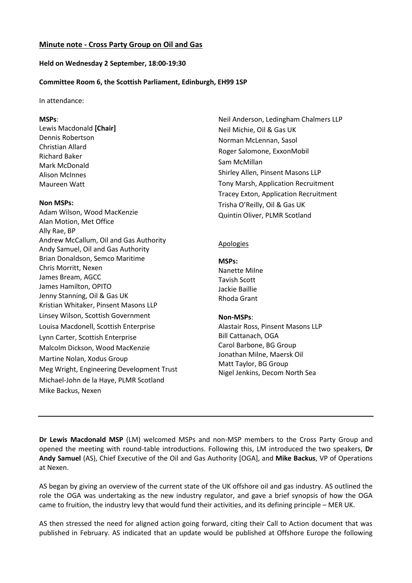## **Minute note - Cross Party Group on Oil and Gas**

### **Held on Wednesday 2 September, 18:00-19:30**

### **Committee Room 6, the Scottish Parliament, Edinburgh, EH99 1SP**

#### In attendance:

#### **MSPs**:

Lewis Macdonald **[Chair]** Dennis Robertson Christian Allard Richard Baker Mark McDonald Alison McInnes Maureen Watt

#### **Non MSPs:**

Adam Wilson, Wood MacKenzie Alan Motion, Met Office Ally Rae, BP Andrew McCallum, Oil and Gas Authority Andy Samuel, Oil and Gas Authority Brian Donaldson, Semco Maritime Chris Morritt, Nexen James Bream, AGCC James Hamilton, OPITO Jenny Stanning, Oil & Gas UK Kristian Whitaker, Pinsent Masons LLP Linsey Wilson, Scottish Government Louisa Macdonell, Scottish Enterprise Lynn Carter, Scottish Enterprise Malcolm Dickson, Wood MacKenzie Martine Nolan, Xodus Group Meg Wright, Engineering Development Trust Michael-John de la Haye, PLMR Scotland Mike Backus, Nexen

Neil Anderson, Ledingham Chalmers LLP Neil Michie, Oil & Gas UK Norman McLennan, Sasol Roger Salomone, ExxonMobil Sam McMillan Shirley Allen, Pinsent Masons LLP Tony Marsh, Application Recruitment Tracey Exton, Application Recruitment Trisha O'Reilly, Oil & Gas UK Quintin Oliver, PLMR Scotland

### **Apologies**

#### **MSPs:**

Nanette Milne Tavish Scott Jackie Baillie Rhoda Grant

#### **Non-MSPs**:

Alastair Ross, Pinsent Masons LLP Bill Cattanach, OGA Carol Barbone, BG Group Jonathan Milne, Maersk Oil Matt Taylor, BG Group Nigel Jenkins, Decom North Sea

**Dr Lewis Macdonald MSP** (LM) welcomed MSPs and non-MSP members to the Cross Party Group and opened the meeting with round-table introductions. Following this, LM introduced the two speakers, **Dr Andy Samuel** (AS), Chief Executive of the Oil and Gas Authority [OGA], and **Mike Backus**, VP of Operations at Nexen.

AS began by giving an overview of the current state of the UK offshore oil and gas industry. AS outlined the role the OGA was undertaking as the new industry regulator, and gave a brief synopsis of how the OGA came to fruition, the industry levy that would fund their activities, and its defining principle – MER UK.

AS then stressed the need for aligned action going forward, citing their Call to Action document that was published in February. AS indicated that an update would be published at Offshore Europe the following